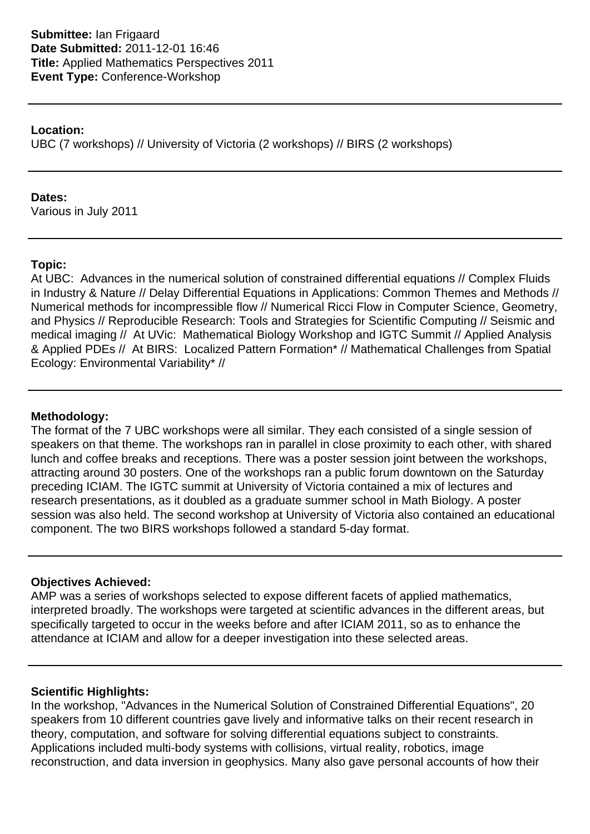### **Location:**

UBC (7 workshops) // University of Victoria (2 workshops) // BIRS (2 workshops)

### **Dates:**

Various in July 2011

# **Topic:**

At UBC: Advances in the numerical solution of constrained differential equations // Complex Fluids in Industry & Nature // Delay Differential Equations in Applications: Common Themes and Methods // Numerical methods for incompressible flow // Numerical Ricci Flow in Computer Science, Geometry, and Physics // Reproducible Research: Tools and Strategies for Scientific Computing // Seismic and medical imaging // At UVic: Mathematical Biology Workshop and IGTC Summit // Applied Analysis & Applied PDEs // At BIRS: Localized Pattern Formation\* // Mathematical Challenges from Spatial Ecology: Environmental Variability\* //

# **Methodology:**

The format of the 7 UBC workshops were all similar. They each consisted of a single session of speakers on that theme. The workshops ran in parallel in close proximity to each other, with shared lunch and coffee breaks and receptions. There was a poster session joint between the workshops, attracting around 30 posters. One of the workshops ran a public forum downtown on the Saturday preceding ICIAM. The IGTC summit at University of Victoria contained a mix of lectures and research presentations, as it doubled as a graduate summer school in Math Biology. A poster session was also held. The second workshop at University of Victoria also contained an educational component. The two BIRS workshops followed a standard 5-day format.

# **Objectives Achieved:**

AMP was a series of workshops selected to expose different facets of applied mathematics, interpreted broadly. The workshops were targeted at scientific advances in the different areas, but specifically targeted to occur in the weeks before and after ICIAM 2011, so as to enhance the attendance at ICIAM and allow for a deeper investigation into these selected areas.

# **Scientific Highlights:**

In the workshop, "Advances in the Numerical Solution of Constrained Differential Equations", 20 speakers from 10 different countries gave lively and informative talks on their recent research in theory, computation, and software for solving differential equations subject to constraints. Applications included multi-body systems with collisions, virtual reality, robotics, image reconstruction, and data inversion in geophysics. Many also gave personal accounts of how their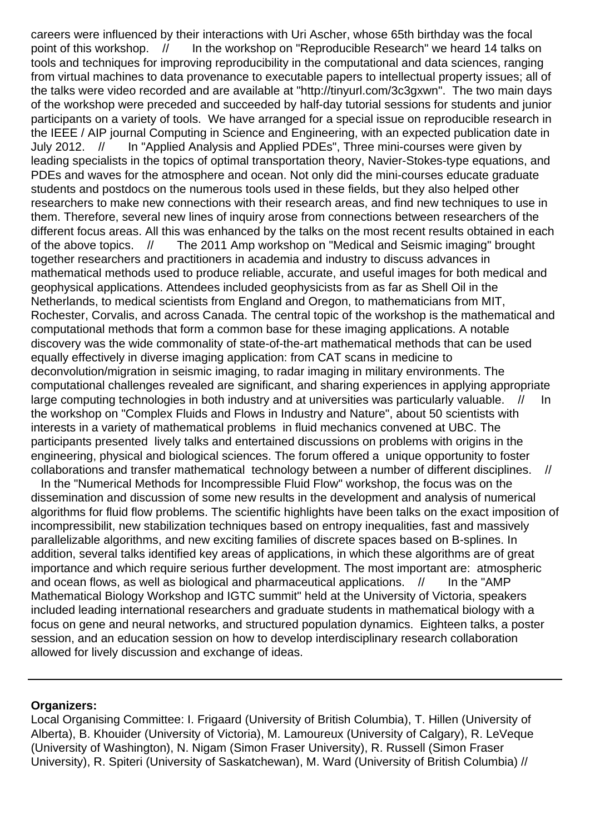careers were influenced by their interactions with Uri Ascher, whose 65th birthday was the focal point of this workshop. // In the workshop on "Reproducible Research" we heard 14 talks on tools and techniques for improving reproducibility in the computational and data sciences, ranging from virtual machines to data provenance to executable papers to intellectual property issues; all of the talks were video recorded and are available at "http://tinyurl.com/3c3gxwn". The two main days of the workshop were preceded and succeeded by half-day tutorial sessions for students and junior participants on a variety of tools. We have arranged for a special issue on reproducible research in the IEEE / AIP journal Computing in Science and Engineering, with an expected publication date in July 2012. // In "Applied Analysis and Applied PDEs", Three mini-courses were given by leading specialists in the topics of optimal transportation theory, Navier-Stokes-type equations, and PDEs and waves for the atmosphere and ocean. Not only did the mini-courses educate graduate students and postdocs on the numerous tools used in these fields, but they also helped other researchers to make new connections with their research areas, and find new techniques to use in them. Therefore, several new lines of inquiry arose from connections between researchers of the different focus areas. All this was enhanced by the talks on the most recent results obtained in each of the above topics. // The 2011 Amp workshop on "Medical and Seismic imaging" brought together researchers and practitioners in academia and industry to discuss advances in mathematical methods used to produce reliable, accurate, and useful images for both medical and geophysical applications. Attendees included geophysicists from as far as Shell Oil in the Netherlands, to medical scientists from England and Oregon, to mathematicians from MIT, Rochester, Corvalis, and across Canada. The central topic of the workshop is the mathematical and computational methods that form a common base for these imaging applications. A notable discovery was the wide commonality of state-of-the-art mathematical methods that can be used equally effectively in diverse imaging application: from CAT scans in medicine to deconvolution/migration in seismic imaging, to radar imaging in military environments. The computational challenges revealed are significant, and sharing experiences in applying appropriate large computing technologies in both industry and at universities was particularly valuable. // In the workshop on "Complex Fluids and Flows in Industry and Nature", about 50 scientists with interests in a variety of mathematical problems in fluid mechanics convened at UBC. The participants presented lively talks and entertained discussions on problems with origins in the engineering, physical and biological sciences. The forum offered a unique opportunity to foster collaborations and transfer mathematical technology between a number of different disciplines. //

 In the "Numerical Methods for Incompressible Fluid Flow" workshop, the focus was on the dissemination and discussion of some new results in the development and analysis of numerical algorithms for fluid flow problems. The scientific highlights have been talks on the exact imposition of incompressibilit, new stabilization techniques based on entropy inequalities, fast and massively parallelizable algorithms, and new exciting families of discrete spaces based on B-splines. In addition, several talks identified key areas of applications, in which these algorithms are of great importance and which require serious further development. The most important are: atmospheric and ocean flows, as well as biological and pharmaceutical applications.  $\frac{1}{10}$  In the "AMP Mathematical Biology Workshop and IGTC summit" held at the University of Victoria, speakers included leading international researchers and graduate students in mathematical biology with a focus on gene and neural networks, and structured population dynamics. Eighteen talks, a poster session, and an education session on how to develop interdisciplinary research collaboration allowed for lively discussion and exchange of ideas.

#### **Organizers:**

Local Organising Committee: I. Frigaard (University of British Columbia), T. Hillen (University of Alberta), B. Khouider (University of Victoria), M. Lamoureux (University of Calgary), R. LeVeque (University of Washington), N. Nigam (Simon Fraser University), R. Russell (Simon Fraser University), R. Spiteri (University of Saskatchewan), M. Ward (University of British Columbia) //